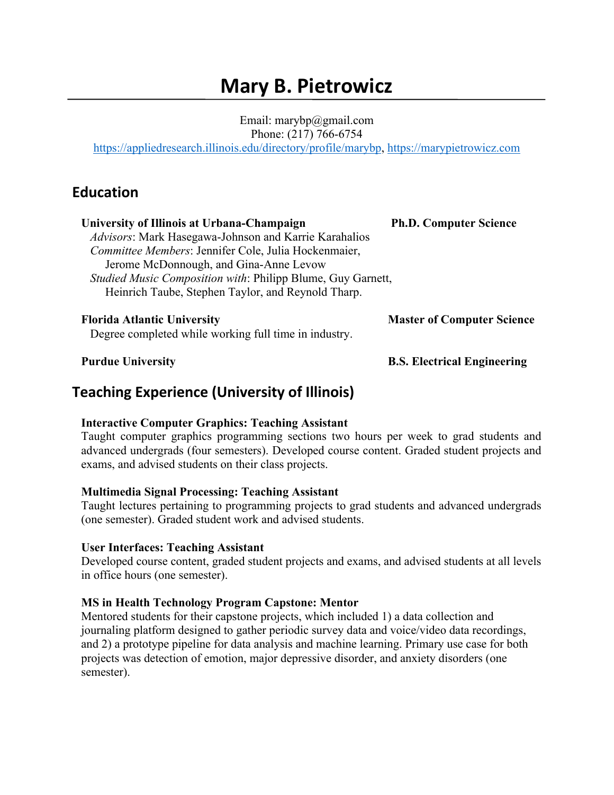# **Mary B. Pietrowicz**

Email: marybp@gmail.com Phone: (217) 766-6754

https://appliedresearch.illinois.edu/directory/profile/marybp, https://marypietrowicz.com

### **Education**

| University of Illinois at Urbana-Champaign                                                  | <b>Ph.D. Computer Science</b>     |
|---------------------------------------------------------------------------------------------|-----------------------------------|
| Advisors: Mark Hasegawa-Johnson and Karrie Karahalios                                       |                                   |
| Committee Members: Jennifer Cole, Julia Hockenmaier,                                        |                                   |
| Jerome McDonnough, and Gina-Anne Levow                                                      |                                   |
| Studied Music Composition with: Philipp Blume, Guy Garnett,                                 |                                   |
| Heinrich Taube, Stephen Taylor, and Reynold Tharp.                                          |                                   |
| <b>Florida Atlantic University</b><br>Degree completed while working full time in industry. | <b>Master of Computer Science</b> |

 **Purdue University B.S. Electrical Engineering**

### **Teaching Experience (University of Illinois)**

#### **Interactive Computer Graphics: Teaching Assistant**

Taught computer graphics programming sections two hours per week to grad students and advanced undergrads (four semesters). Developed course content. Graded student projects and exams, and advised students on their class projects.

#### **Multimedia Signal Processing: Teaching Assistant**

Taught lectures pertaining to programming projects to grad students and advanced undergrads (one semester). Graded student work and advised students.

#### **User Interfaces: Teaching Assistant**

 Developed course content, graded student projects and exams, and advised students at all levels in office hours (one semester).

#### **MS in Health Technology Program Capstone: Mentor**

 Mentored students for their capstone projects, which included 1) a data collection and journaling platform designed to gather periodic survey data and voice/video data recordings, and 2) a prototype pipeline for data analysis and machine learning. Primary use case for both projects was detection of emotion, major depressive disorder, and anxiety disorders (one semester).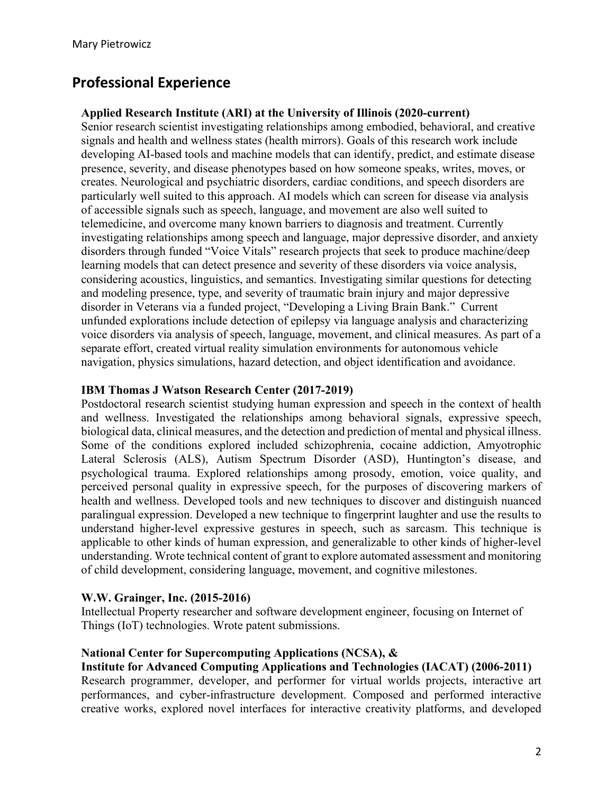# **Professional Experience**

#### **Applied Research Institute (ARI) at the University of Illinois (2020-current)**

Senior research scientist investigating relationships among embodied, behavioral, and creative signals and health and wellness states (health mirrors). Goals of this research work include developing AI-based tools and machine models that can identify, predict, and estimate disease presence, severity, and disease phenotypes based on how someone speaks, writes, moves, or creates. Neurological and psychiatric disorders, cardiac conditions, and speech disorders are particularly well suited to this approach. AI models which can screen for disease via analysis of accessible signals such as speech, language, and movement are also well suited to telemedicine, and overcome many known barriers to diagnosis and treatment. Currently investigating relationships among speech and language, major depressive disorder, and anxiety disorders through funded "Voice Vitals" research projects that seek to produce machine/deep learning models that can detect presence and severity of these disorders via voice analysis, considering acoustics, linguistics, and semantics. Investigating similar questions for detecting and modeling presence, type, and severity of traumatic brain injury and major depressive disorder in Veterans via a funded project, "Developing a Living Brain Bank." Current unfunded explorations include detection of epilepsy via language analysis and characterizing voice disorders via analysis of speech, language, movement, and clinical measures. As part of a separate effort, created virtual reality simulation environments for autonomous vehicle navigation, physics simulations, hazard detection, and object identification and avoidance.

#### **IBM Thomas J Watson Research Center (2017-2019)**

Postdoctoral research scientist studying human expression and speech in the context of health and wellness. Investigated the relationships among behavioral signals, expressive speech, biological data, clinical measures, and the detection and prediction of mental and physical illness. Some of the conditions explored included schizophrenia, cocaine addiction, Amyotrophic Lateral Sclerosis (ALS), Autism Spectrum Disorder (ASD), Huntington's disease, and psychological trauma. Explored relationships among prosody, emotion, voice quality, and perceived personal quality in expressive speech, for the purposes of discovering markers of health and wellness. Developed tools and new techniques to discover and distinguish nuanced paralingual expression. Developed a new technique to fingerprint laughter and use the results to understand higher-level expressive gestures in speech, such as sarcasm. This technique is applicable to other kinds of human expression, and generalizable to other kinds of higher-level understanding. Wrote technical content of grant to explore automated assessment and monitoring of child development, considering language, movement, and cognitive milestones.

#### **W.W. Grainger, Inc. (2015-2016)**

Intellectual Property researcher and software development engineer, focusing on Internet of Things (IoT) technologies. Wrote patent submissions.

#### **National Center for Supercomputing Applications (NCSA), &**

#### **Institute for Advanced Computing Applications and Technologies (IACAT) (2006-2011)**

Research programmer, developer, and performer for virtual worlds projects, interactive art performances, and cyber-infrastructure development. Composed and performed interactive creative works, explored novel interfaces for interactive creativity platforms, and developed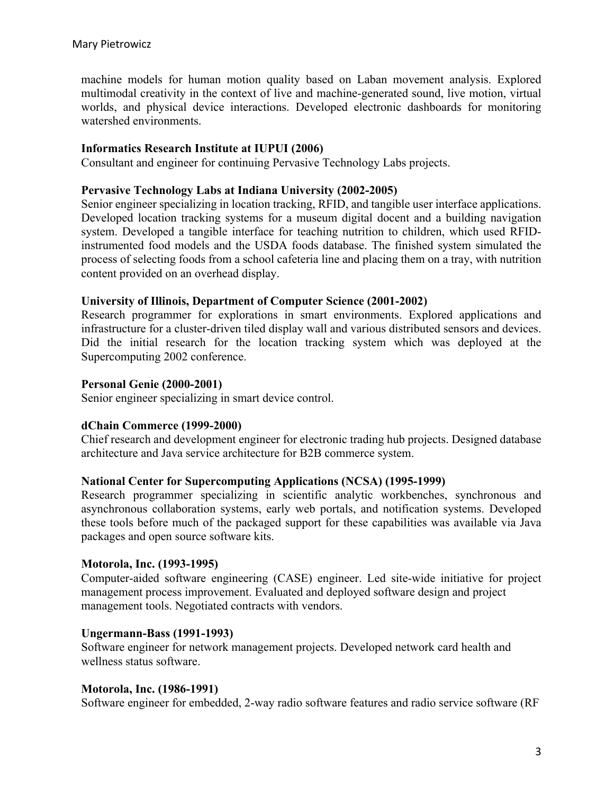machine models for human motion quality based on Laban movement analysis. Explored multimodal creativity in the context of live and machine-generated sound, live motion, virtual worlds, and physical device interactions. Developed electronic dashboards for monitoring watershed environments.

#### **Informatics Research Institute at IUPUI (2006)**

Consultant and engineer for continuing Pervasive Technology Labs projects.

#### **Pervasive Technology Labs at Indiana University (2002-2005)**

Senior engineer specializing in location tracking, RFID, and tangible user interface applications. Developed location tracking systems for a museum digital docent and a building navigation system. Developed a tangible interface for teaching nutrition to children, which used RFIDinstrumented food models and the USDA foods database. The finished system simulated the process of selecting foods from a school cafeteria line and placing them on a tray, with nutrition content provided on an overhead display.

#### **University of Illinois, Department of Computer Science (2001-2002)**

Research programmer for explorations in smart environments. Explored applications and infrastructure for a cluster-driven tiled display wall and various distributed sensors and devices. Did the initial research for the location tracking system which was deployed at the Supercomputing 2002 conference.

#### **Personal Genie (2000-2001)**

Senior engineer specializing in smart device control.

#### **dChain Commerce (1999-2000)**

Chief research and development engineer for electronic trading hub projects. Designed database architecture and Java service architecture for B2B commerce system.

#### **National Center for Supercomputing Applications (NCSA) (1995-1999)**

Research programmer specializing in scientific analytic workbenches, synchronous and asynchronous collaboration systems, early web portals, and notification systems. Developed these tools before much of the packaged support for these capabilities was available via Java packages and open source software kits.

#### **Motorola, Inc. (1993-1995)**

 Computer-aided software engineering (CASE) engineer. Led site-wide initiative for project management process improvement. Evaluated and deployed software design and project management tools. Negotiated contracts with vendors.

#### **Ungermann-Bass (1991-1993)**

 Software engineer for network management projects. Developed network card health and wellness status software.

#### **Motorola, Inc. (1986-1991)**

Software engineer for embedded, 2-way radio software features and radio service software (RF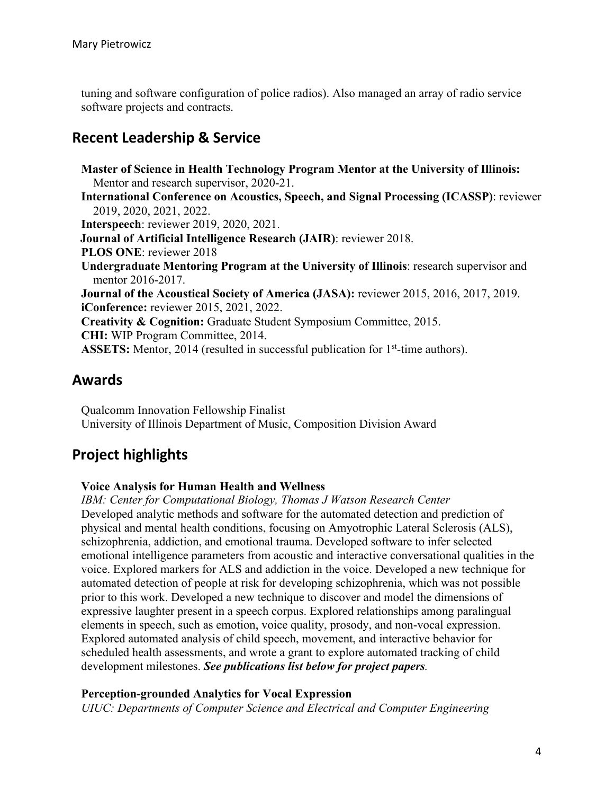tuning and software configuration of police radios). Also managed an array of radio service software projects and contracts.

# **Recent Leadership & Service**

 **Master of Science in Health Technology Program Mentor at the University of Illinois:** Mentor and research supervisor, 2020-21.  **International Conference on Acoustics, Speech, and Signal Processing (ICASSP)**: reviewer 2019, 2020, 2021, 2022. **Interspeech**: reviewer 2019, 2020, 2021. **Journal of Artificial Intelligence Research (JAIR)**: reviewer 2018. **PLOS ONE**: reviewer 2018 **Undergraduate Mentoring Program at the University of Illinois**: research supervisor and mentor 2016-2017. **Journal of the Acoustical Society of America (JASA):** reviewer 2015, 2016, 2017, 2019. **iConference:** reviewer 2015, 2021, 2022. **Creativity & Cognition:** Graduate Student Symposium Committee, 2015. **CHI:** WIP Program Committee, 2014. **ASSETS:** Mentor, 2014 (resulted in successful publication for 1<sup>st</sup>-time authors).

### **Awards**

 Qualcomm Innovation Fellowship Finalist University of Illinois Department of Music, Composition Division Award

# **Project highlights**

### **Voice Analysis for Human Health and Wellness**

 *IBM: Center for Computational Biology, Thomas J Watson Research Center*  Developed analytic methods and software for the automated detection and prediction of physical and mental health conditions, focusing on Amyotrophic Lateral Sclerosis (ALS), schizophrenia, addiction, and emotional trauma. Developed software to infer selected emotional intelligence parameters from acoustic and interactive conversational qualities in the voice. Explored markers for ALS and addiction in the voice. Developed a new technique for automated detection of people at risk for developing schizophrenia, which was not possible prior to this work. Developed a new technique to discover and model the dimensions of expressive laughter present in a speech corpus. Explored relationships among paralingual elements in speech, such as emotion, voice quality, prosody, and non-vocal expression. Explored automated analysis of child speech, movement, and interactive behavior for scheduled health assessments, and wrote a grant to explore automated tracking of child development milestones. *See publications list below for project papers.*

#### **Perception-grounded Analytics for Vocal Expression**

 *UIUC: Departments of Computer Science and Electrical and Computer Engineering*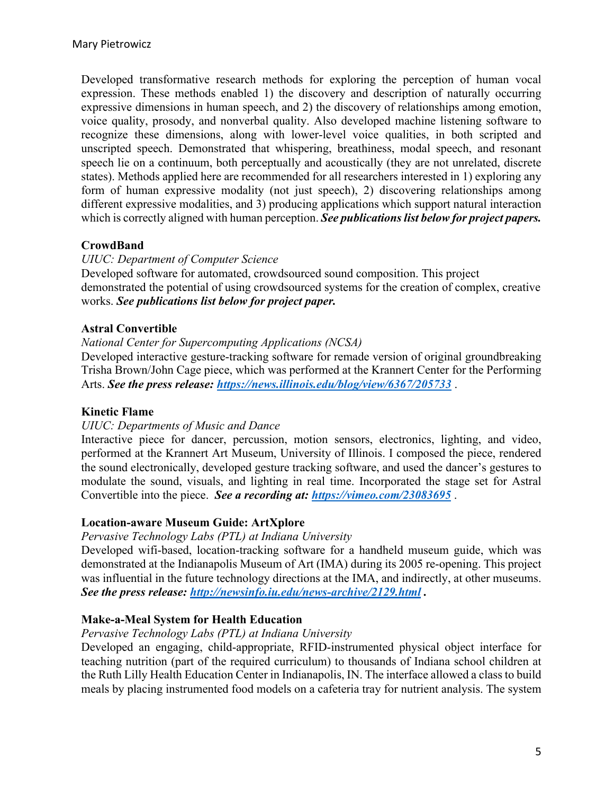Developed transformative research methods for exploring the perception of human vocal expression. These methods enabled 1) the discovery and description of naturally occurring expressive dimensions in human speech, and 2) the discovery of relationships among emotion, voice quality, prosody, and nonverbal quality. Also developed machine listening software to recognize these dimensions, along with lower-level voice qualities, in both scripted and unscripted speech. Demonstrated that whispering, breathiness, modal speech, and resonant speech lie on a continuum, both perceptually and acoustically (they are not unrelated, discrete states). Methods applied here are recommended for all researchers interested in 1) exploring any form of human expressive modality (not just speech), 2) discovering relationships among different expressive modalities, and 3) producing applications which support natural interaction which is correctly aligned with human perception. *See publications list below for project papers.*

#### **CrowdBand**

#### *UIUC: Department of Computer Science*

Developed software for automated, crowdsourced sound composition. This project demonstrated the potential of using crowdsourced systems for the creation of complex, creative works. *See publications list below for project paper.*

#### **Astral Convertible**

#### *National Center for Supercomputing Applications (NCSA)*

Developed interactive gesture-tracking software for remade version of original groundbreaking Trisha Brown/John Cage piece, which was performed at the Krannert Center for the Performing Arts. *See the press release: https://news.illinois.edu/blog/view/6367/205733* .

#### **Kinetic Flame**

#### *UIUC: Departments of Music and Dance*

Interactive piece for dancer, percussion, motion sensors, electronics, lighting, and video, performed at the Krannert Art Museum, University of Illinois. I composed the piece, rendered the sound electronically, developed gesture tracking software, and used the dancer's gestures to modulate the sound, visuals, and lighting in real time. Incorporated the stage set for Astral Convertible into the piece. *See a recording at: https://vimeo.com/23083695* .

#### **Location-aware Museum Guide: ArtXplore**

#### *Pervasive Technology Labs (PTL) at Indiana University*

Developed wifi-based, location-tracking software for a handheld museum guide, which was demonstrated at the Indianapolis Museum of Art (IMA) during its 2005 re-opening. This project was influential in the future technology directions at the IMA, and indirectly, at other museums. *See the press release: http://newsinfo.iu.edu/news-archive/2129.html .*

#### **Make-a-Meal System for Health Education**

#### *Pervasive Technology Labs (PTL) at Indiana University*

Developed an engaging, child-appropriate, RFID-instrumented physical object interface for teaching nutrition (part of the required curriculum) to thousands of Indiana school children at the Ruth Lilly Health Education Center in Indianapolis, IN. The interface allowed a class to build meals by placing instrumented food models on a cafeteria tray for nutrient analysis. The system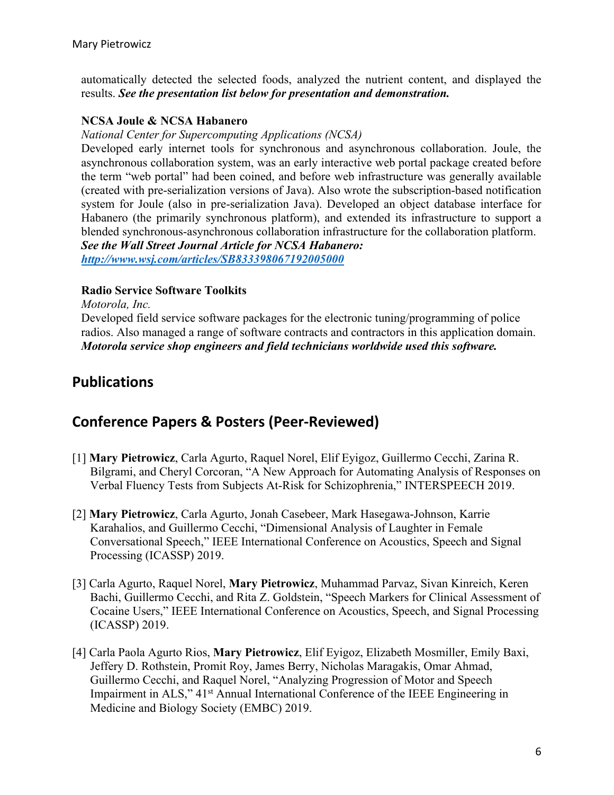automatically detected the selected foods, analyzed the nutrient content, and displayed the results. *See the presentation list below for presentation and demonstration.*

#### **NCSA Joule & NCSA Habanero**

*National Center for Supercomputing Applications (NCSA)*

Developed early internet tools for synchronous and asynchronous collaboration. Joule, the asynchronous collaboration system, was an early interactive web portal package created before the term "web portal" had been coined, and before web infrastructure was generally available (created with pre-serialization versions of Java). Also wrote the subscription-based notification system for Joule (also in pre-serialization Java). Developed an object database interface for Habanero (the primarily synchronous platform), and extended its infrastructure to support a blended synchronous-asynchronous collaboration infrastructure for the collaboration platform. *See the Wall Street Journal Article for NCSA Habanero:*

*http://www.wsj.com/articles/SB833398067192005000* 

#### **Radio Service Software Toolkits**

*Motorola, Inc.*

Developed field service software packages for the electronic tuning/programming of police radios. Also managed a range of software contracts and contractors in this application domain. *Motorola service shop engineers and field technicians worldwide used this software.*

### **Publications**

### **Conference Papers & Posters (Peer-Reviewed)**

- [1] **Mary Pietrowicz**, Carla Agurto, Raquel Norel, Elif Eyigoz, Guillermo Cecchi, Zarina R. Bilgrami, and Cheryl Corcoran, "A New Approach for Automating Analysis of Responses on Verbal Fluency Tests from Subjects At-Risk for Schizophrenia," INTERSPEECH 2019.
- [2] **Mary Pietrowicz**, Carla Agurto, Jonah Casebeer, Mark Hasegawa-Johnson, Karrie Karahalios, and Guillermo Cecchi, "Dimensional Analysis of Laughter in Female Conversational Speech," IEEE International Conference on Acoustics, Speech and Signal Processing (ICASSP) 2019.
- [3] Carla Agurto, Raquel Norel, **Mary Pietrowicz**, Muhammad Parvaz, Sivan Kinreich, Keren Bachi, Guillermo Cecchi, and Rita Z. Goldstein, "Speech Markers for Clinical Assessment of Cocaine Users," IEEE International Conference on Acoustics, Speech, and Signal Processing (ICASSP) 2019.
- [4] Carla Paola Agurto Rios, **Mary Pietrowicz**, Elif Eyigoz, Elizabeth Mosmiller, Emily Baxi, Jeffery D. Rothstein, Promit Roy, James Berry, Nicholas Maragakis, Omar Ahmad, Guillermo Cecchi, and Raquel Norel, "Analyzing Progression of Motor and Speech Impairment in ALS," 41<sup>st</sup> Annual International Conference of the IEEE Engineering in Medicine and Biology Society (EMBC) 2019.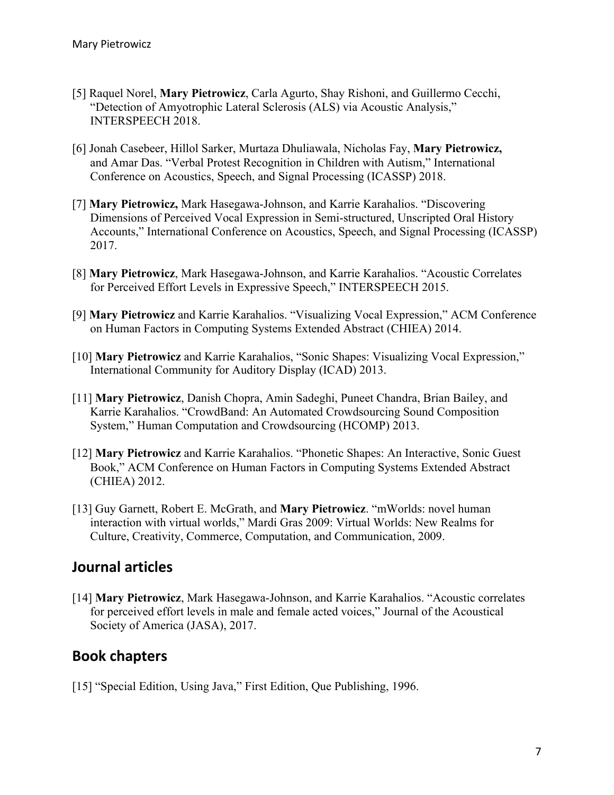- [5] Raquel Norel, **Mary Pietrowicz**, Carla Agurto, Shay Rishoni, and Guillermo Cecchi, "Detection of Amyotrophic Lateral Sclerosis (ALS) via Acoustic Analysis," INTERSPEECH 2018.
- [6] Jonah Casebeer, Hillol Sarker, Murtaza Dhuliawala, Nicholas Fay, **Mary Pietrowicz,**  and Amar Das. "Verbal Protest Recognition in Children with Autism," International Conference on Acoustics, Speech, and Signal Processing (ICASSP) 2018.
- [7] **Mary Pietrowicz,** Mark Hasegawa-Johnson, and Karrie Karahalios. "Discovering Dimensions of Perceived Vocal Expression in Semi-structured, Unscripted Oral History Accounts," International Conference on Acoustics, Speech, and Signal Processing (ICASSP) 2017.
- [8] **Mary Pietrowicz**, Mark Hasegawa-Johnson, and Karrie Karahalios. "Acoustic Correlates for Perceived Effort Levels in Expressive Speech," INTERSPEECH 2015.
- [9] **Mary Pietrowicz** and Karrie Karahalios. "Visualizing Vocal Expression," ACM Conference on Human Factors in Computing Systems Extended Abstract (CHIEA) 2014.
- [10] **Mary Pietrowicz** and Karrie Karahalios, "Sonic Shapes: Visualizing Vocal Expression," International Community for Auditory Display (ICAD) 2013.
- [11] **Mary Pietrowicz**, Danish Chopra, Amin Sadeghi, Puneet Chandra, Brian Bailey, and Karrie Karahalios. "CrowdBand: An Automated Crowdsourcing Sound Composition System," Human Computation and Crowdsourcing (HCOMP) 2013.
- [12] **Mary Pietrowicz** and Karrie Karahalios. "Phonetic Shapes: An Interactive, Sonic Guest Book," ACM Conference on Human Factors in Computing Systems Extended Abstract (CHIEA) 2012.
- [13] Guy Garnett, Robert E. McGrath, and **Mary Pietrowicz**. "mWorlds: novel human interaction with virtual worlds," Mardi Gras 2009: Virtual Worlds: New Realms for Culture, Creativity, Commerce, Computation, and Communication, 2009.

### **Journal articles**

[14] **Mary Pietrowicz**, Mark Hasegawa-Johnson, and Karrie Karahalios. "Acoustic correlates for perceived effort levels in male and female acted voices," Journal of the Acoustical Society of America (JASA), 2017.

# **Book chapters**

[15] "Special Edition, Using Java," First Edition, Que Publishing, 1996.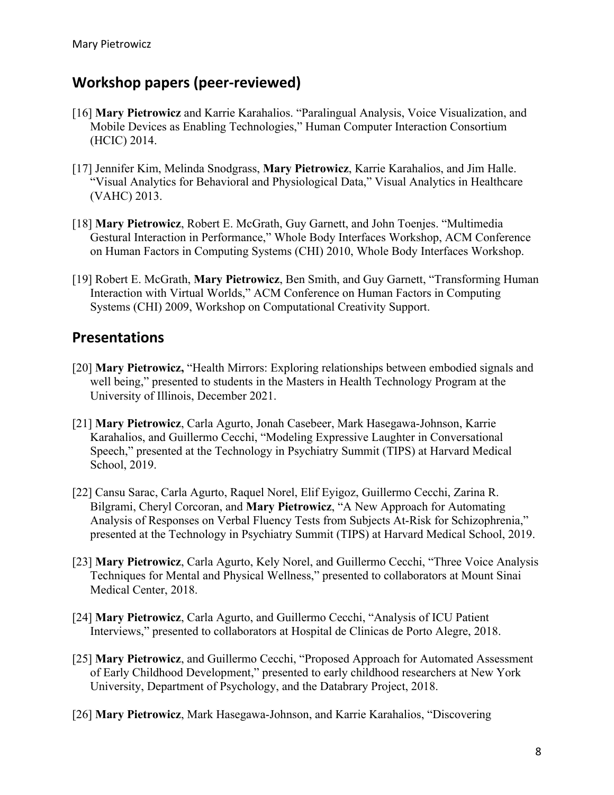# **Workshop papers (peer-reviewed)**

- [16] **Mary Pietrowicz** and Karrie Karahalios. "Paralingual Analysis, Voice Visualization, and Mobile Devices as Enabling Technologies," Human Computer Interaction Consortium (HCIC) 2014.
- [17] Jennifer Kim, Melinda Snodgrass, **Mary Pietrowicz**, Karrie Karahalios, and Jim Halle. "Visual Analytics for Behavioral and Physiological Data," Visual Analytics in Healthcare (VAHC) 2013.
- [18] **Mary Pietrowicz**, Robert E. McGrath, Guy Garnett, and John Toenjes. "Multimedia Gestural Interaction in Performance," Whole Body Interfaces Workshop, ACM Conference on Human Factors in Computing Systems (CHI) 2010, Whole Body Interfaces Workshop.
- [19] Robert E. McGrath, **Mary Pietrowicz**, Ben Smith, and Guy Garnett, "Transforming Human Interaction with Virtual Worlds," ACM Conference on Human Factors in Computing Systems (CHI) 2009, Workshop on Computational Creativity Support.

### **Presentations**

- [20] **Mary Pietrowicz,** "Health Mirrors: Exploring relationships between embodied signals and well being," presented to students in the Masters in Health Technology Program at the University of Illinois, December 2021.
- [21] **Mary Pietrowicz**, Carla Agurto, Jonah Casebeer, Mark Hasegawa-Johnson, Karrie Karahalios, and Guillermo Cecchi, "Modeling Expressive Laughter in Conversational Speech," presented at the Technology in Psychiatry Summit (TIPS) at Harvard Medical School, 2019.
- [22] Cansu Sarac, Carla Agurto, Raquel Norel, Elif Eyigoz, Guillermo Cecchi, Zarina R. Bilgrami, Cheryl Corcoran, and **Mary Pietrowicz**, "A New Approach for Automating Analysis of Responses on Verbal Fluency Tests from Subjects At-Risk for Schizophrenia," presented at the Technology in Psychiatry Summit (TIPS) at Harvard Medical School, 2019.
- [23] **Mary Pietrowicz**, Carla Agurto, Kely Norel, and Guillermo Cecchi, "Three Voice Analysis Techniques for Mental and Physical Wellness," presented to collaborators at Mount Sinai Medical Center, 2018.
- [24] **Mary Pietrowicz**, Carla Agurto, and Guillermo Cecchi, "Analysis of ICU Patient Interviews," presented to collaborators at Hospital de Clinicas de Porto Alegre, 2018.
- [25] **Mary Pietrowicz**, and Guillermo Cecchi, "Proposed Approach for Automated Assessment of Early Childhood Development," presented to early childhood researchers at New York University, Department of Psychology, and the Databrary Project, 2018.
- [26] **Mary Pietrowicz**, Mark Hasegawa-Johnson, and Karrie Karahalios, "Discovering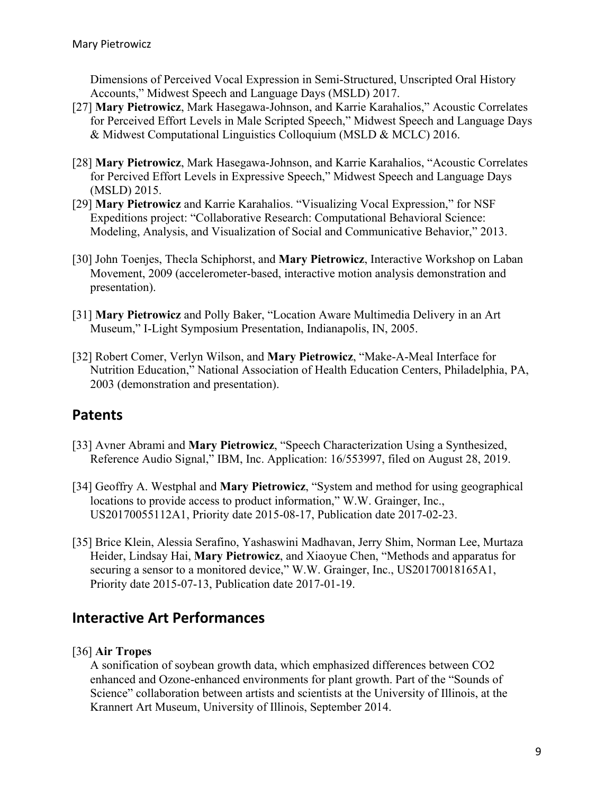Dimensions of Perceived Vocal Expression in Semi-Structured, Unscripted Oral History Accounts," Midwest Speech and Language Days (MSLD) 2017.

- [27] **Mary Pietrowicz**, Mark Hasegawa-Johnson, and Karrie Karahalios," Acoustic Correlates for Perceived Effort Levels in Male Scripted Speech," Midwest Speech and Language Days & Midwest Computational Linguistics Colloquium (MSLD & MCLC) 2016.
- [28] **Mary Pietrowicz**, Mark Hasegawa-Johnson, and Karrie Karahalios, "Acoustic Correlates for Percived Effort Levels in Expressive Speech," Midwest Speech and Language Days (MSLD) 2015.
- [29] **Mary Pietrowicz** and Karrie Karahalios. "Visualizing Vocal Expression," for NSF Expeditions project: "Collaborative Research: Computational Behavioral Science: Modeling, Analysis, and Visualization of Social and Communicative Behavior," 2013.
- [30] John Toenjes, Thecla Schiphorst, and **Mary Pietrowicz**, Interactive Workshop on Laban Movement, 2009 (accelerometer-based, interactive motion analysis demonstration and presentation).
- [31] **Mary Pietrowicz** and Polly Baker, "Location Aware Multimedia Delivery in an Art Museum," I-Light Symposium Presentation, Indianapolis, IN, 2005.
- [32] Robert Comer, Verlyn Wilson, and **Mary Pietrowicz**, "Make-A-Meal Interface for Nutrition Education," National Association of Health Education Centers, Philadelphia, PA, 2003 (demonstration and presentation).

# **Patents**

- [33] Avner Abrami and **Mary Pietrowicz**, "Speech Characterization Using a Synthesized, Reference Audio Signal," IBM, Inc. Application: 16/553997, filed on August 28, 2019.
- [34] Geoffry A. Westphal and **Mary Pietrowicz**, "System and method for using geographical locations to provide access to product information," W.W. Grainger, Inc., US20170055112A1, Priority date 2015-08-17, Publication date 2017-02-23.
- [35] Brice Klein, Alessia Serafino, Yashaswini Madhavan, Jerry Shim, Norman Lee, Murtaza Heider, Lindsay Hai, **Mary Pietrowicz**, and Xiaoyue Chen, "Methods and apparatus for securing a sensor to a monitored device," W.W. Grainger, Inc., US20170018165A1, Priority date 2015-07-13, Publication date 2017-01-19.

# **Interactive Art Performances**

### [36] **Air Tropes**

A sonification of soybean growth data, which emphasized differences between CO2 enhanced and Ozone-enhanced environments for plant growth. Part of the "Sounds of Science" collaboration between artists and scientists at the University of Illinois, at the Krannert Art Museum, University of Illinois, September 2014.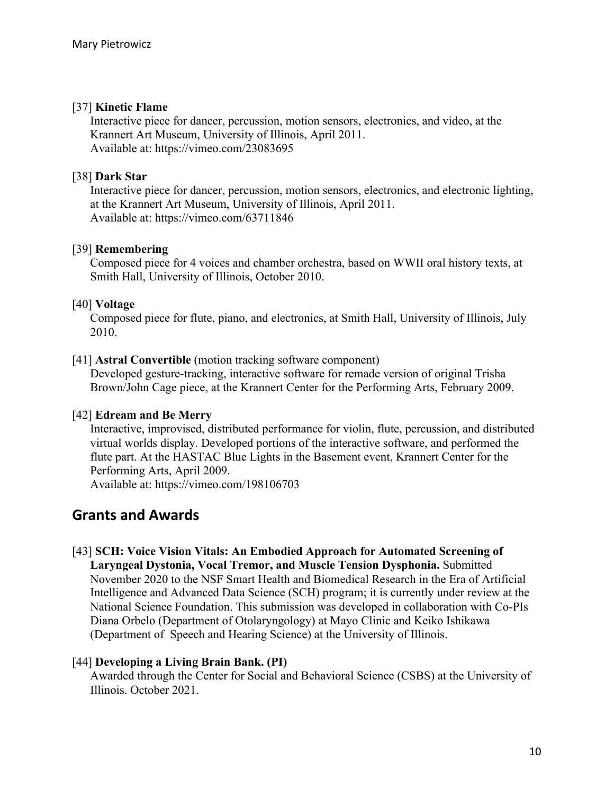#### [37] **Kinetic Flame**

Interactive piece for dancer, percussion, motion sensors, electronics, and video, at the Krannert Art Museum, University of Illinois, April 2011. Available at: https://vimeo.com/23083695

#### [38] **Dark Star**

Interactive piece for dancer, percussion, motion sensors, electronics, and electronic lighting, at the Krannert Art Museum, University of Illinois, April 2011. Available at: https://vimeo.com/63711846

#### [39] **Remembering**

Composed piece for 4 voices and chamber orchestra, based on WWII oral history texts, at Smith Hall, University of Illinois, October 2010.

#### [40] **Voltage**

Composed piece for flute, piano, and electronics, at Smith Hall, University of Illinois, July 2010.

#### [41] **Astral Convertible** (motion tracking software component)

Developed gesture-tracking, interactive software for remade version of original Trisha Brown/John Cage piece, at the Krannert Center for the Performing Arts, February 2009.

#### [42] **Edream and Be Merry**

Interactive, improvised, distributed performance for violin, flute, percussion, and distributed virtual worlds display. Developed portions of the interactive software, and performed the flute part. At the HASTAC Blue Lights in the Basement event, Krannert Center for the Performing Arts, April 2009.

Available at: https://vimeo.com/198106703

### **Grants and Awards**

[43] **SCH: Voice Vision Vitals: An Embodied Approach for Automated Screening of Laryngeal Dystonia, Vocal Tremor, and Muscle Tension Dysphonia.** Submitted

November 2020 to the NSF Smart Health and Biomedical Research in the Era of Artificial Intelligence and Advanced Data Science (SCH) program; it is currently under review at the National Science Foundation. This submission was developed in collaboration with Co-PIs Diana Orbelo (Department of Otolaryngology) at Mayo Clinic and Keiko Ishikawa (Department of Speech and Hearing Science) at the University of Illinois.

#### [44] **Developing a Living Brain Bank. (PI)**

Awarded through the Center for Social and Behavioral Science (CSBS) at the University of Illinois. October 2021.